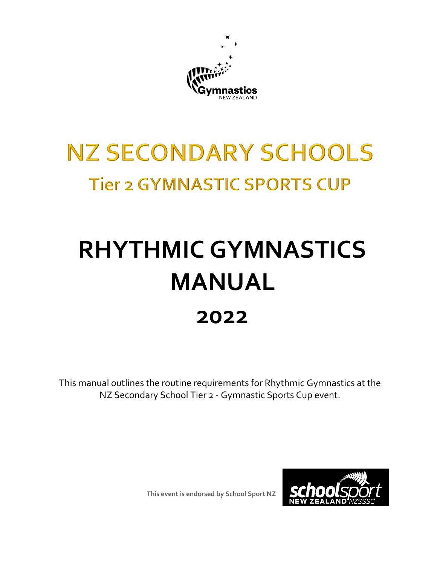

## **NZ SECONDARY SCHOOLS Tier 2 GYMNASTIC SPORTS CUP**

# **RHYTHMIC GYMNASTICS MANUAL 2022**

This manual outlines the routine requirements for Rhythmic Gymnastics at the NZ Secondary School Tier 2 - Gymnastic Sports Cup event.



**This event is endorsed by School Sport NZ**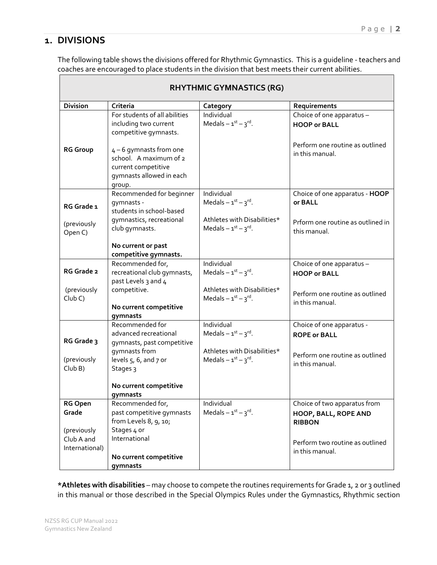## **1. DIVISIONS**

The following table shows the divisions offered for Rhythmic Gymnastics. This is a guideline - teachers and coaches are encouraged to place students in the division that best meets their current abilities.

| <b>RHYTHMIC GYMNASTICS (RG)</b>        |                                                                                                                                                                                                 |                                                                                                          |                                                                                                        |
|----------------------------------------|-------------------------------------------------------------------------------------------------------------------------------------------------------------------------------------------------|----------------------------------------------------------------------------------------------------------|--------------------------------------------------------------------------------------------------------|
| <b>Division</b>                        | Criteria                                                                                                                                                                                        | Category                                                                                                 | Requirements                                                                                           |
| <b>RG Group</b>                        | For students of all abilities<br>including two current<br>competitive gymnasts.<br>4-6 gymnasts from one<br>school. A maximum of 2<br>current competitive<br>gymnasts allowed in each<br>group. | Individual<br>Medals $-1^{st} - 3^{rd}$ .                                                                | Choice of one apparatus -<br><b>HOOP or BALL</b><br>Perform one routine as outlined<br>in this manual. |
| RG Grade 1<br>(previously<br>Open C)   | Recommended for beginner<br>qymnasts -<br>students in school-based<br>gymnastics, recreational<br>club gymnasts.                                                                                | Individual<br>Medals $-1^{st} - 3^{rd}$ .<br>Athletes with Disabilities*<br>Medals $-1^{st} - 3^{rd}$ .  | Choice of one apparatus - HOOP<br>or BALL<br>Prform one routine as outlined in<br>this manual.         |
|                                        | No current or past<br>competitive gymnasts.                                                                                                                                                     |                                                                                                          |                                                                                                        |
| RG Grade 2                             | Recommended for,<br>recreational club gymnasts,<br>past Levels 3 and 4                                                                                                                          | Individual<br>Medals $-1st - 3rd$ .                                                                      | Choice of one apparatus -<br><b>HOOP or BALL</b>                                                       |
| (previously<br>Club C                  | competitive.<br>No current competitive<br>gymnasts                                                                                                                                              | Athletes with Disabilities*<br>Medals $-1^{st}$ $-3^{rd}$ .                                              | Perform one routine as outlined<br>in this manual.                                                     |
| RG Grade 3<br>(previously              | Recommended for<br>advanced recreational<br>gymnasts, past competitive<br>gymnasts from<br>levels $5, 6$ , and $7$ or                                                                           | Individual<br>Medals $-1^{st}$ $-3^{rd}$ .<br>Athletes with Disabilities*<br>Medals $-1^{st} - 3^{rd}$ . | Choice of one apparatus -<br><b>ROPE or BALL</b><br>Perform one routine as outlined<br>in this manual. |
| ClubB)                                 | Stages 3<br>No current competitive<br>gymnasts                                                                                                                                                  |                                                                                                          |                                                                                                        |
| <b>RG Open</b><br>Grade<br>(previously | Recommended for,<br>past competitive gymnasts<br>from Levels 8, 9, 10;<br>Stages 4 or                                                                                                           | Individual<br>Medals $-1^{st} - 3^{rd}$ .                                                                | Choice of two apparatus from<br>HOOP, BALL, ROPE AND<br><b>RIBBON</b>                                  |
| Club A and<br>International)           | International<br>No current competitive<br>gymnasts                                                                                                                                             |                                                                                                          | Perform two routine as outlined<br>in this manual.                                                     |

**\*Athletes with disabilities** – may choose to compete the routines requirements for Grade 1, 2 or 3 outlined in this manual or those described in the Special Olympics Rules under the Gymnastics, Rhythmic section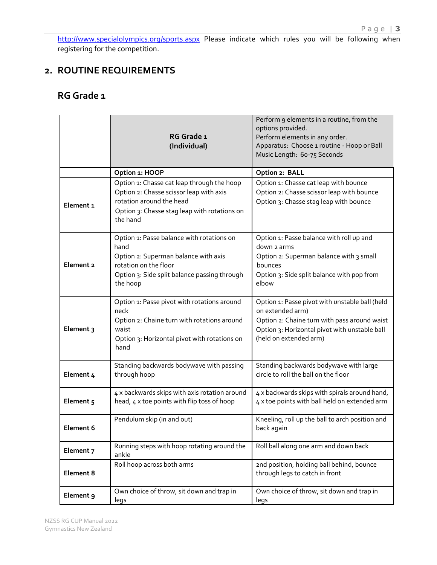<http://www.specialolympics.org/sports.aspx> Please indicate which rules you will be following when registering for the competition.

## **2. ROUTINE REQUIREMENTS**

## **RG Grade 1**

|           | RG Grade 1<br>(Individual)                                                                                                                                                     | Perform 9 elements in a routine, from the<br>options provided.<br>Perform elements in any order.<br>Apparatus: Choose 1 routine - Hoop or Ball<br>Music Length: 60-75 Seconds                 |
|-----------|--------------------------------------------------------------------------------------------------------------------------------------------------------------------------------|-----------------------------------------------------------------------------------------------------------------------------------------------------------------------------------------------|
|           | Option 1: HOOP                                                                                                                                                                 | Option 2: BALL                                                                                                                                                                                |
| Element 1 | Option 1: Chasse cat leap through the hoop<br>Option 2: Chasse scissor leap with axis<br>rotation around the head<br>Option 3: Chasse stag leap with rotations on<br>the hand  | Option 1: Chasse cat leap with bounce<br>Option 2: Chasse scissor leap with bounce<br>Option 3: Chasse stag leap with bounce                                                                  |
| Element 2 | Option 1: Passe balance with rotations on<br>hand<br>Option 2: Superman balance with axis<br>rotation on the floor<br>Option 3: Side split balance passing through<br>the hoop | Option 1: Passe balance with roll up and<br>down 2 arms<br>Option 2: Superman balance with 3 small<br>bounces<br>Option 3: Side split balance with pop from<br>elbow                          |
| Element 3 | Option 1: Passe pivot with rotations around<br>neck<br>Option 2: Chaine turn with rotations around<br>waist<br>Option 3: Horizontal pivot with rotations on<br>hand            | Option 1: Passe pivot with unstable ball (held<br>on extended arm)<br>Option 2: Chaine turn with pass around waist<br>Option 3: Horizontal pivot with unstable ball<br>(held on extended arm) |
| Element 4 | Standing backwards bodywave with passing<br>through hoop                                                                                                                       | Standing backwards bodywave with large<br>circle to roll the ball on the floor                                                                                                                |
| Element 5 | 4 x backwards skips with axis rotation around<br>head, 4 x toe points with flip toss of hoop                                                                                   | 4 x backwards skips with spirals around hand,<br>4 x toe points with ball held on extended arm                                                                                                |
| Element 6 | Pendulum skip (in and out)                                                                                                                                                     | Kneeling, roll up the ball to arch position and<br>back again                                                                                                                                 |
| Element 7 | Running steps with hoop rotating around the<br>ankle                                                                                                                           | Roll ball along one arm and down back                                                                                                                                                         |
| Element 8 | Roll hoop across both arms                                                                                                                                                     | 2nd position, holding ball behind, bounce<br>through legs to catch in front                                                                                                                   |
| Element 9 | Own choice of throw, sit down and trap in<br>legs                                                                                                                              | Own choice of throw, sit down and trap in<br>legs                                                                                                                                             |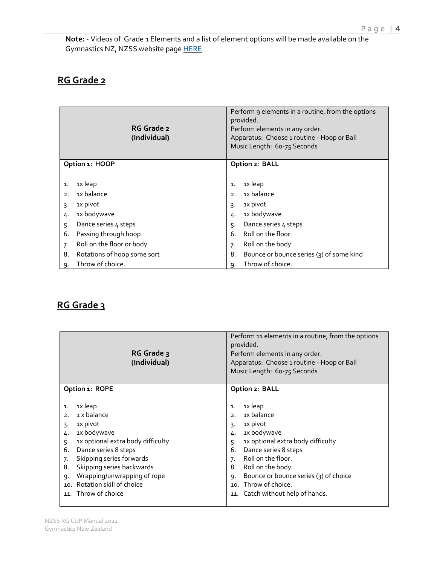**Note:** - Videos of Grade 1 Elements and a list of element options will be made available on the Gymnastics NZ, NZSS website page [HERE](https://www.gymnasticsnz.com/gymsports-member-resources/nz-secondary-schools/)

## **RG Grade 2**

|                                   | RG Grade 2<br>(Individual) |    | Perform 9 elements in a routine, from the options<br>provided.<br>Perform elements in any order.<br>Apparatus: Choose 1 routine - Hoop or Ball<br>Music Length: 60-75 Seconds |
|-----------------------------------|----------------------------|----|-------------------------------------------------------------------------------------------------------------------------------------------------------------------------------|
| Option 1: HOOP                    |                            |    | Option 2: BALL                                                                                                                                                                |
|                                   |                            |    |                                                                                                                                                                               |
| 1x leap<br>1.                     |                            | 1. | 1x leap                                                                                                                                                                       |
| 1x balance<br>2.                  |                            | 2. | 1x balance                                                                                                                                                                    |
| 1X pivot<br>3.                    |                            | 3. | 1X pivot                                                                                                                                                                      |
| 1x bodywave<br>4.                 |                            | 4. | 1x bodywave                                                                                                                                                                   |
| Dance series 4 steps<br>5.        |                            | 5. | Dance series 4 steps                                                                                                                                                          |
| Passing through hoop<br>6.        |                            | 6. | Roll on the floor                                                                                                                                                             |
| Roll on the floor or body<br>7.   |                            | 7. | Roll on the body                                                                                                                                                              |
| 8.<br>Rotations of hoop some sort |                            | 8. | Bounce or bounce series (3) of some kind                                                                                                                                      |
| Throw of choice.<br>٩.            |                            | 9. | Throw of choice.                                                                                                                                                              |

## **RG Grade 3**

| RG Grade 3<br>(Individual)                                                                                                                                                                                                                                                                                                      | Perform 11 elements in a routine, from the options<br>provided.<br>Perform elements in any order.<br>Apparatus: Choose 1 routine - Hoop or Ball<br>Music Length: 60-75 Seconds                                                                                                                                      |
|---------------------------------------------------------------------------------------------------------------------------------------------------------------------------------------------------------------------------------------------------------------------------------------------------------------------------------|---------------------------------------------------------------------------------------------------------------------------------------------------------------------------------------------------------------------------------------------------------------------------------------------------------------------|
| Option 1: ROPE                                                                                                                                                                                                                                                                                                                  | Option 2: BALL                                                                                                                                                                                                                                                                                                      |
| 1x leap<br>$\mathbf{1}$ .<br>1 x balance<br>2.<br>1x pivot<br>3.<br>1x bodywave<br>4.<br>1x optional extra body difficulty<br>5.<br>Dance series 8 steps<br>6.<br>Skipping series forwards<br>7.<br>Skipping series backwards<br>8.<br>Wrapping/unwrapping of rope<br>9.<br>10. Rotation skill of choice<br>11. Throw of choice | 1x leap<br>1.<br>1x balance<br>2.<br>1x pivot<br>3.<br>1x bodywave<br>4.<br>1x optional extra body difficulty<br>5.<br>Dance series 8 steps<br>6.<br>Roll on the floor.<br>7.<br>Roll on the body.<br>8.<br>Bounce or bounce series (3) of choice<br>9.<br>10. Throw of choice.<br>11. Catch without help of hands. |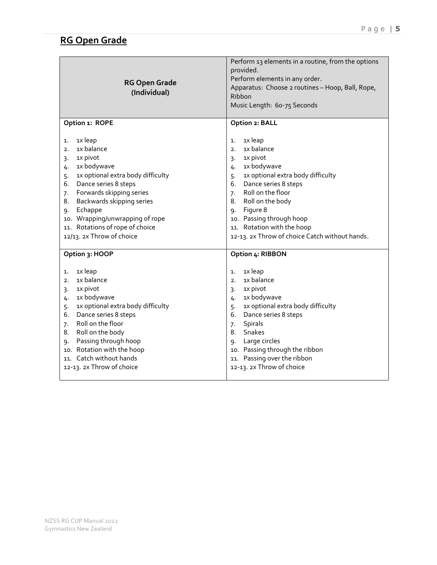| <b>RG Open Grade</b><br>(Individual) | Perform 13 elements in a routine, from the options<br>provided.<br>Perform elements in any order.<br>Apparatus: Choose 2 routines - Hoop, Ball, Rope,<br>Ribbon<br>Music Length: 60-75 Seconds |
|--------------------------------------|------------------------------------------------------------------------------------------------------------------------------------------------------------------------------------------------|
| Option 1: ROPE                       | Option 2: BALL                                                                                                                                                                                 |
| 1x leap                              | 1x leap                                                                                                                                                                                        |
| 1.                                   | 1.                                                                                                                                                                                             |
| 1x balance                           | 1x balance                                                                                                                                                                                     |
| 2.                                   | 2.                                                                                                                                                                                             |
| 1x pivot                             | 1x pivot                                                                                                                                                                                       |
| 3.                                   | 3.                                                                                                                                                                                             |
| 1x bodywave                          | 1x bodywave                                                                                                                                                                                    |
| 4.                                   | 4.                                                                                                                                                                                             |
| 1x optional extra body difficulty    | 1x optional extra body difficulty                                                                                                                                                              |
| 5.                                   | 5.                                                                                                                                                                                             |
| Dance series 8 steps                 | Dance series 8 steps                                                                                                                                                                           |
| 6.                                   | 6.                                                                                                                                                                                             |
| Forwards skipping series             | Roll on the floor                                                                                                                                                                              |
| 7.                                   | 7.                                                                                                                                                                                             |
| Backwards skipping series            | Roll on the body                                                                                                                                                                               |
| 8.                                   | 8.                                                                                                                                                                                             |
| Echappe                              | Figure 8                                                                                                                                                                                       |
| 9.                                   | 9.                                                                                                                                                                                             |
| 10. Wrapping/unwrapping of rope      | 10. Passing through hoop                                                                                                                                                                       |
| 11. Rotations of rope of choice      | 11. Rotation with the hoop                                                                                                                                                                     |
| 12/13. 2x Throw of choice            | 12-13. 2x Throw of choice Catch without hands.                                                                                                                                                 |
| Option 3: HOOP                       | Option 4: RIBBON                                                                                                                                                                               |
| 1x leap                              | 1x leap                                                                                                                                                                                        |
| 1.                                   | 1.                                                                                                                                                                                             |
| 1x balance                           | 1x balance                                                                                                                                                                                     |
| 2.                                   | 2.                                                                                                                                                                                             |
| 1x pivot                             | 1x pivot                                                                                                                                                                                       |
| 3.                                   | 3.                                                                                                                                                                                             |
| 1x bodywave                          | 1x bodywave                                                                                                                                                                                    |
| 4.                                   | 4.                                                                                                                                                                                             |
| 1x optional extra body difficulty    | 1x optional extra body difficulty                                                                                                                                                              |
| 5.                                   | 5.                                                                                                                                                                                             |
| Dance series 8 steps                 | Dance series 8 steps                                                                                                                                                                           |
| 6.                                   | 6.                                                                                                                                                                                             |
| Roll on the floor                    | Spirals                                                                                                                                                                                        |
| 7.                                   | 7.                                                                                                                                                                                             |
| Roll on the body                     | Snakes                                                                                                                                                                                         |
| 8.                                   | 8.                                                                                                                                                                                             |
| Passing through hoop                 | Large circles                                                                                                                                                                                  |
| 9.                                   | 9.                                                                                                                                                                                             |
| 10. Rotation with the hoop           | 10. Passing through the ribbon                                                                                                                                                                 |
| 11. Catch without hands              | 11. Passing over the ribbon                                                                                                                                                                    |
| 12-13. 2x Throw of choice            | 12-13. 2x Throw of choice                                                                                                                                                                      |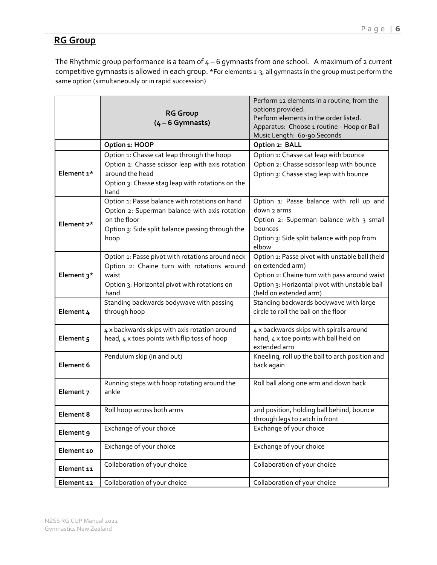## **RG Group**

The Rhythmic group performance is a team of  $4 - 6$  gymnasts from one school. A maximum of 2 current competitive gymnasts is allowed in each group. \*For elements 1-3, all gymnasts in the group must perform the same option (simultaneously or in rapid succession)

|            |                                                  | Perform 12 elements in a routine, from the                 |
|------------|--------------------------------------------------|------------------------------------------------------------|
|            | <b>RG Group</b>                                  | options provided.<br>Perform elements in the order listed. |
|            | $(4 - 6$ Gymnasts)                               | Apparatus: Choose 1 routine - Hoop or Ball                 |
|            |                                                  | Music Length: 60-90 Seconds                                |
|            | Option 1: HOOP                                   | Option 2: BALL                                             |
|            | Option 1: Chasse cat leap through the hoop       | Option 1: Chasse cat leap with bounce                      |
|            | Option 2: Chasse scissor leap with axis rotation | Option 2: Chasse scissor leap with bounce                  |
| Element 1* | around the head                                  | Option 3: Chasse stag leap with bounce                     |
|            | Option 3: Chasse stag leap with rotations on the |                                                            |
|            | hand                                             |                                                            |
|            | Option 1: Passe balance with rotations on hand   | Option 1: Passe balance with roll up and                   |
|            | Option 2: Superman balance with axis rotation    | down 2 arms                                                |
| Element 2* | on the floor                                     | Option 2: Superman balance with 3 small                    |
|            | Option 3: Side split balance passing through the | bounces                                                    |
|            | hoop                                             | Option 3: Side split balance with pop from                 |
|            | Option 1: Passe pivot with rotations around neck | elbow<br>Option 1: Passe pivot with unstable ball (held    |
|            | Option 2: Chaine turn with rotations around      | on extended arm)                                           |
| Element 3* | waist                                            | Option 2: Chaine turn with pass around waist               |
|            | Option 3: Horizontal pivot with rotations on     | Option 3: Horizontal pivot with unstable ball              |
|            | hand.                                            | (held on extended arm)                                     |
|            | Standing backwards bodywave with passing         | Standing backwards bodywave with large                     |
| Element 4  | through hoop                                     | circle to roll the ball on the floor                       |
|            |                                                  |                                                            |
|            | 4 x backwards skips with axis rotation around    | 4 x backwards skips with spirals around                    |
| Element 5  | head, 4 x toes points with flip toss of hoop     | hand, 4 x toe points with ball held on                     |
|            |                                                  | extended arm                                               |
|            | Pendulum skip (in and out)                       | Kneeling, roll up the ball to arch position and            |
| Element 6  |                                                  | back again                                                 |
|            | Running steps with hoop rotating around the      | Roll ball along one arm and down back                      |
| Element 7  | ankle                                            |                                                            |
|            |                                                  |                                                            |
| Element 8  | Roll hoop across both arms                       | 2nd position, holding ball behind, bounce                  |
|            |                                                  | through legs to catch in front                             |
| Element 9  | Exchange of your choice                          | Exchange of your choice                                    |
|            | Exchange of your choice                          | Exchange of your choice                                    |
| Element 10 |                                                  |                                                            |
| Element 11 | Collaboration of your choice                     | Collaboration of your choice                               |
|            |                                                  |                                                            |
| Element 12 | Collaboration of your choice                     | Collaboration of your choice                               |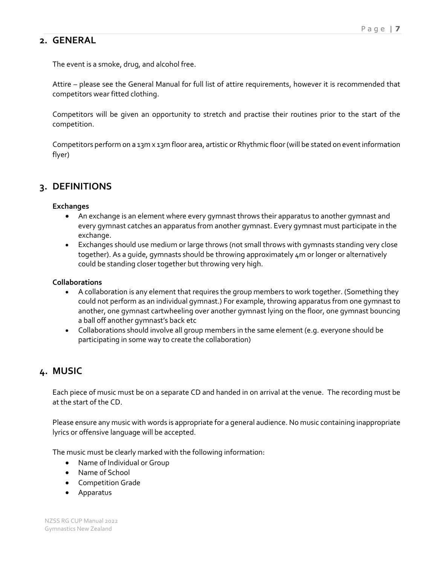## **2. GENERAL**

The event is a smoke, drug, and alcohol free.

Attire – please see the General Manual for full list of attire requirements, however it is recommended that competitors wear fitted clothing.

Competitors will be given an opportunity to stretch and practise their routines prior to the start of the competition.

Competitors perform on a 13m x 13m floor area, artistic or Rhythmic floor (will be stated on event information flyer)

## **3. DEFINITIONS**

#### **Exchanges**

- An exchange is an element where every gymnast throws their apparatus to another gymnast and every gymnast catches an apparatus from another gymnast. Every gymnast must participate in the exchange.
- Exchanges should use medium or large throws (not small throws with gymnasts standing very close together). As a guide, gymnasts should be throwing approximately 4m or longer or alternatively could be standing closer together but throwing very high.

#### **Collaborations**

- A collaboration is any element that requires the group members to work together. (Something they could not perform as an individual gymnast.) For example, throwing apparatus from one gymnast to another, one gymnast cartwheeling over another gymnast lying on the floor, one gymnast bouncing a ball off another gymnast's back etc
- Collaborations should involve all group members in the same element (e.g. everyone should be participating in some way to create the collaboration)

## **4. MUSIC**

Each piece of music must be on a separate CD and handed in on arrival at the venue. The recording must be at the start of the CD.

Please ensure any music with words is appropriate for a general audience. No music containing inappropriate lyrics or offensive language will be accepted.

The music must be clearly marked with the following information:

- Name of Individual or Group
- Name of School
- Competition Grade
- Apparatus